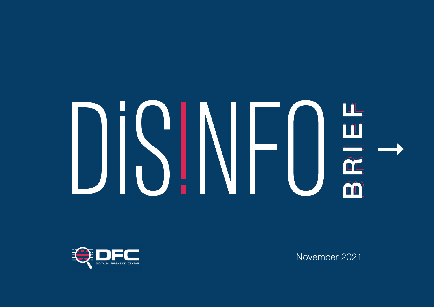# BRIEF 1999<br>BRIDGE 1999<br>BRIDGE 1999<br>BRIDGE 1999<br>BRIDGE 1999<br>BRIDGE 1999<br>BRIDGE 1999

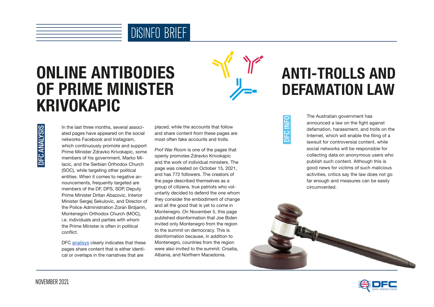

# ONLINE ANTIBODIES OF PRIME MINISTER KRIVOKAPIC



# DFC ANALYSIS DFC ANALYSIS

In the last three months, several associated pages have appeared on the social networks Facebook and Instagram, which continuously promote and support Prime Minister Zdravko Krivokapic, some members of his government, Marko Milacic, and the Serbian Orthodox Church (SOC), while targeting other political entities. When it comes to negative announcements, frequently targeted are members of the DF, DPS, SDP, Deputy Prime Minister Dritan Abazovic, Interior Minister Sergej Sekulovic, and Director of the Police Administration Zoran Brdjanin, Montenegrin Orthodox Church (MOC), i.e. individuals and parties with whom the Prime Minister is often in political conflict.

DFC [anali](https://dfcme.me/onlajn-antitijela-premijera-krivokapica/)sys clearly indicates that these pages share content that is either identical or overlaps in the narratives that are

placed, while the accounts that follow and share content from these pages are most often fake accounts and trolls.

*Prof War Room* is one of the pages that openly promotes Zdravko Krivokapic and the work of individual ministers. The page was created on October 15, 2021, and has 772 followers. The creators of the page described themselves as a group of citizens, true patriots who voluntarily decided to defend the one whom they consider the embodiment of change and all the good that is yet to come in Montenegro. On November 5, this page published disinformation that Joe Biden invited only Montenegro from the region to the summit on democracy. This is disinformation because, in addition to Montenegro, countries from the region were also invited to the summit: Croatia, Albania, and Northern Macedonia.

# ANTI-TROLLS AND DEFAMATION LAW

DFC INFO **INI**<br>DC The Australian government has announced a law on the fight against defamation, harassment, and trolls on the Internet, which will enable the filing of a lawsuit for controversial content, while social networks will be responsible for collecting data on anonymous users who publish such content. Although this is good news for victims of such malicious activities, critics say the law does not go far enough and measures can be easily circumvented.



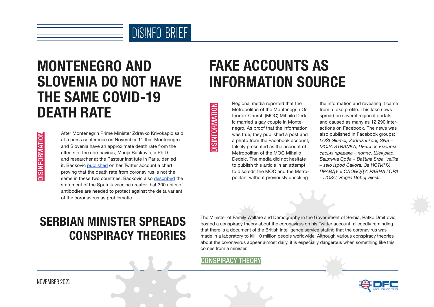

#### MONTENEGRO AND SLOVENIA DO NOT HAVE THE SAME COVID-19 DEATH RATE

**DISINFORMATION** DISINFORMATION After Montenegrin Prime Minister Zdravko Krivokapic said at a press conference on November 11 that Montenegro and Slovenia have an approximate death rate from the effects of the coronavirus, Marija Backovic, a Ph.D. and researcher at the Pasteur Institute in Paris, denied it. Backovic [published](https://twitter.com/marija_backovic/status/1458792509614833664?s=21) on her Twitter account a chart proving that the death rate from coronavirus is not the same in these two countries. Backovic also [described](https://twitter.com/marija_backovic/status/1457633223706619906) the statement of the Sputnik vaccine creator that 300 units of antibodies are needed to protect against the delta variant of the coronavirus as problematic.

# FAKE ACCOUNTS AS INFORMATION SOURCE

Regional media reported that the Metropolitan of the Montenegrin Orthodox Church (MOC) Mihailo Dedeic married a gay couple in Montenegro. As proof that the information was true, they published a post and a photo from the Facebook account, falsely presented as the account of Metropolitan of the MOC Mihailo Dedeic. The media did not hesitate to publish this article in an attempt to discredit the MOC and the Metropolitan, without previously checking The Minister of Family Welfare<br>
CONSPIRACY THEORY<br>
CONSPIRACY THEORY<br>
CONSPIRACY THEORY<br>
CONSPIRACY THEORY<br>
CONSPIRACY THEORY<br>
CONSPIRACY THEORY<br>
CONSPIRACY THEORY<br>
CONSPIRACY THEORY<br>
CONSPIRACY THEORY<br>
CONSPIRACY THEORY<br>

the information and revealing it came from a fake profile. This fake news spread on several regional portals and caused as many as 12,290 interactions on Facebook. The news was also published in Facebook groups: *LOŠI Glumci, Zadružni konj, SNS – MOJA STRANKA, Пиши се именом својих предака – попис, Шекулар, Баштина Срба – Baština Srba, Velika – selo ispod Čakora, За ИСТИНУ, ПРАВДУ и СЛОБОДУ: РАВНА ГОРА – ПОКС, Regija Doboj vijesti*.

#### SERBIAN MINISTER SPREADS CONSPIRACY THEORIES

The Minister of Family Welfare and Demography in the Government of Serbia, Ratko Dmitrovic, posted a conspiracy theory about the coronavirus on his Twitter account, allegedly reminding that there is a document of the British intelligence service stating that the coronavirus was made in a laboratory to kill 10 million people worldwide. Although various conspiracy theories about the coronavirus appear almost daily, it is especially dangerous when something like this comes from a minister.



NOVEMBER 2021